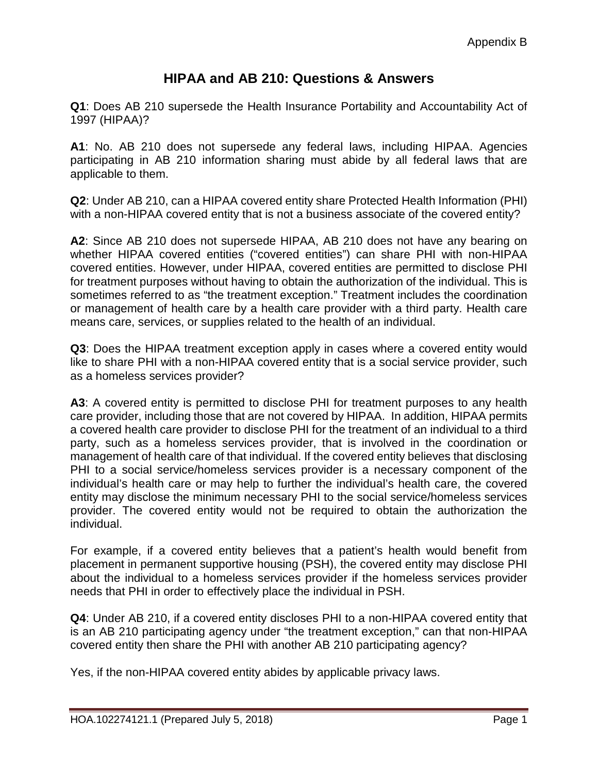## **HIPAA and AB 210: Questions & Answers**

**Q1**: Does AB 210 supersede the Health Insurance Portability and Accountability Act of 1997 (HIPAA)?

**A1**: No. AB 210 does not supersede any federal laws, including HIPAA. Agencies participating in AB 210 information sharing must abide by all federal laws that are applicable to them.

**Q2**: Under AB 210, can a HIPAA covered entity share Protected Health Information (PHI) with a non-HIPAA covered entity that is not a business associate of the covered entity?

**A2**: Since AB 210 does not supersede HIPAA, AB 210 does not have any bearing on whether HIPAA covered entities ("covered entities") can share PHI with non-HIPAA covered entities. However, under HIPAA, covered entities are permitted to disclose PHI for treatment purposes without having to obtain the authorization of the individual. This is sometimes referred to as "the treatment exception." Treatment includes the coordination or management of health care by a health care provider with a third party. Health care means care, services, or supplies related to the health of an individual.

**Q3**: Does the HIPAA treatment exception apply in cases where a covered entity would like to share PHI with a non-HIPAA covered entity that is a social service provider, such as a homeless services provider?

**A3**: A covered entity is permitted to disclose PHI for treatment purposes to any health care provider, including those that are not covered by HIPAA. In addition, HIPAA permits a covered health care provider to disclose PHI for the treatment of an individual to a third party, such as a homeless services provider, that is involved in the coordination or management of health care of that individual. If the covered entity believes that disclosing PHI to a social service/homeless services provider is a necessary component of the individual's health care or may help to further the individual's health care, the covered entity may disclose the minimum necessary PHI to the social service/homeless services provider. The covered entity would not be required to obtain the authorization the individual.

For example, if a covered entity believes that a patient's health would benefit from placement in permanent supportive housing (PSH), the covered entity may disclose PHI about the individual to a homeless services provider if the homeless services provider needs that PHI in order to effectively place the individual in PSH.

**Q4**: Under AB 210, if a covered entity discloses PHI to a non-HIPAA covered entity that is an AB 210 participating agency under "the treatment exception," can that non-HIPAA covered entity then share the PHI with another AB 210 participating agency?

Yes, if the non-HIPAA covered entity abides by applicable privacy laws.